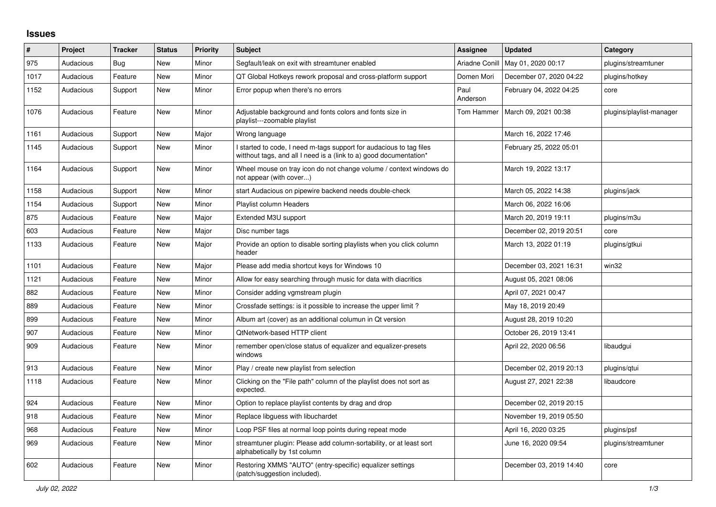## **Issues**

| $\#$ | Project   | <b>Tracker</b> | <b>Status</b> | <b>Priority</b> | <b>Subject</b>                                                                                                                            | Assignee         | <b>Updated</b>          | Category                 |
|------|-----------|----------------|---------------|-----------------|-------------------------------------------------------------------------------------------------------------------------------------------|------------------|-------------------------|--------------------------|
| 975  | Audacious | <b>Bug</b>     | <b>New</b>    | Minor           | Segfault/leak on exit with streamtuner enabled                                                                                            | Ariadne Conill   | May 01, 2020 00:17      | plugins/streamtuner      |
| 1017 | Audacious | Feature        | <b>New</b>    | Minor           | QT Global Hotkeys rework proposal and cross-platform support                                                                              | Domen Mori       | December 07, 2020 04:22 | plugins/hotkey           |
| 1152 | Audacious | Support        | <b>New</b>    | Minor           | Error popup when there's no errors                                                                                                        | Paul<br>Anderson | February 04, 2022 04:25 | core                     |
| 1076 | Audacious | Feature        | New           | Minor           | Adjustable background and fonts colors and fonts size in<br>playlist---zoomable playlist                                                  | Tom Hammer       | March 09, 2021 00:38    | plugins/playlist-manager |
| 1161 | Audacious | Support        | New           | Major           | Wrong language                                                                                                                            |                  | March 16, 2022 17:46    |                          |
| 1145 | Audacious | Support        | <b>New</b>    | Minor           | I started to code, I need m-tags support for audacious to tag files<br>witthout tags, and all I need is a (link to a) good documentation* |                  | February 25, 2022 05:01 |                          |
| 1164 | Audacious | Support        | <b>New</b>    | Minor           | Wheel mouse on tray icon do not change volume / context windows do<br>not appear (with cover)                                             |                  | March 19, 2022 13:17    |                          |
| 1158 | Audacious | Support        | New           | Minor           | start Audacious on pipewire backend needs double-check                                                                                    |                  | March 05, 2022 14:38    | plugins/jack             |
| 1154 | Audacious | Support        | New           | Minor           | Playlist column Headers                                                                                                                   |                  | March 06, 2022 16:06    |                          |
| 875  | Audacious | Feature        | <b>New</b>    | Major           | Extended M3U support                                                                                                                      |                  | March 20, 2019 19:11    | plugins/m3u              |
| 603  | Audacious | Feature        | New           | Major           | Disc number tags                                                                                                                          |                  | December 02, 2019 20:51 | core                     |
| 1133 | Audacious | Feature        | New           | Major           | Provide an option to disable sorting playlists when you click column<br>header                                                            |                  | March 13, 2022 01:19    | plugins/gtkui            |
| 1101 | Audacious | Feature        | New           | Major           | Please add media shortcut keys for Windows 10                                                                                             |                  | December 03, 2021 16:31 | win32                    |
| 1121 | Audacious | Feature        | New           | Minor           | Allow for easy searching through music for data with diacritics                                                                           |                  | August 05, 2021 08:06   |                          |
| 882  | Audacious | Feature        | <b>New</b>    | Minor           | Consider adding vgmstream plugin                                                                                                          |                  | April 07, 2021 00:47    |                          |
| 889  | Audacious | Feature        | New           | Minor           | Crossfade settings: is it possible to increase the upper limit?                                                                           |                  | May 18, 2019 20:49      |                          |
| 899  | Audacious | Feature        | New           | Minor           | Album art (cover) as an additional columun in Qt version                                                                                  |                  | August 28, 2019 10:20   |                          |
| 907  | Audacious | Feature        | New           | Minor           | QtNetwork-based HTTP client                                                                                                               |                  | October 26, 2019 13:41  |                          |
| 909  | Audacious | Feature        | <b>New</b>    | Minor           | remember open/close status of equalizer and equalizer-presets<br>windows                                                                  |                  | April 22, 2020 06:56    | libaudqui                |
| 913  | Audacious | Feature        | New           | Minor           | Play / create new playlist from selection                                                                                                 |                  | December 02, 2019 20:13 | plugins/qtui             |
| 1118 | Audacious | Feature        | New           | Minor           | Clicking on the "File path" column of the playlist does not sort as<br>expected.                                                          |                  | August 27, 2021 22:38   | libaudcore               |
| 924  | Audacious | Feature        | <b>New</b>    | Minor           | Option to replace playlist contents by drag and drop                                                                                      |                  | December 02, 2019 20:15 |                          |
| 918  | Audacious | Feature        | New           | Minor           | Replace libguess with libuchardet                                                                                                         |                  | November 19, 2019 05:50 |                          |
| 968  | Audacious | Feature        | New           | Minor           | Loop PSF files at normal loop points during repeat mode                                                                                   |                  | April 16, 2020 03:25    | plugins/psf              |
| 969  | Audacious | Feature        | New           | Minor           | streamtuner plugin: Please add column-sortability, or at least sort<br>alphabetically by 1st column                                       |                  | June 16, 2020 09:54     | plugins/streamtuner      |
| 602  | Audacious | Feature        | <b>New</b>    | Minor           | Restoring XMMS "AUTO" (entry-specific) equalizer settings<br>(patch/suggestion included).                                                 |                  | December 03, 2019 14:40 | core                     |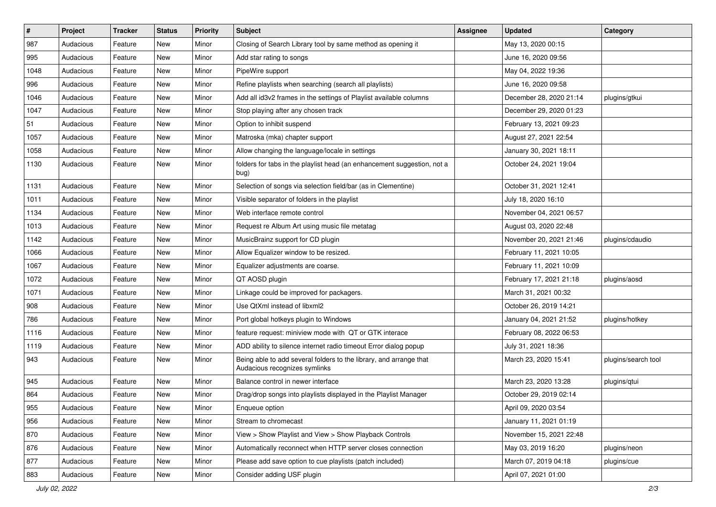| $\vert$ # | Project   | <b>Tracker</b> | <b>Status</b> | <b>Priority</b> | <b>Subject</b>                                                                                      | Assignee | <b>Updated</b>          | Category            |
|-----------|-----------|----------------|---------------|-----------------|-----------------------------------------------------------------------------------------------------|----------|-------------------------|---------------------|
| 987       | Audacious | Feature        | New           | Minor           | Closing of Search Library tool by same method as opening it                                         |          | May 13, 2020 00:15      |                     |
| 995       | Audacious | Feature        | New           | Minor           | Add star rating to songs                                                                            |          | June 16, 2020 09:56     |                     |
| 1048      | Audacious | Feature        | New           | Minor           | PipeWire support                                                                                    |          | May 04, 2022 19:36      |                     |
| 996       | Audacious | Feature        | New           | Minor           | Refine playlists when searching (search all playlists)                                              |          | June 16, 2020 09:58     |                     |
| 1046      | Audacious | Feature        | <b>New</b>    | Minor           | Add all id3v2 frames in the settings of Playlist available columns                                  |          | December 28, 2020 21:14 | plugins/gtkui       |
| 1047      | Audacious | Feature        | New           | Minor           | Stop playing after any chosen track                                                                 |          | December 29, 2020 01:23 |                     |
| 51        | Audacious | Feature        | New           | Minor           | Option to inhibit suspend                                                                           |          | February 13, 2021 09:23 |                     |
| 1057      | Audacious | Feature        | New           | Minor           | Matroska (mka) chapter support                                                                      |          | August 27, 2021 22:54   |                     |
| 1058      | Audacious | Feature        | New           | Minor           | Allow changing the language/locale in settings                                                      |          | January 30, 2021 18:11  |                     |
| 1130      | Audacious | Feature        | New           | Minor           | folders for tabs in the playlist head (an enhancement suggestion, not a<br>bug)                     |          | October 24, 2021 19:04  |                     |
| 1131      | Audacious | Feature        | <b>New</b>    | Minor           | Selection of songs via selection field/bar (as in Clementine)                                       |          | October 31, 2021 12:41  |                     |
| 1011      | Audacious | Feature        | <b>New</b>    | Minor           | Visible separator of folders in the playlist                                                        |          | July 18, 2020 16:10     |                     |
| 1134      | Audacious | Feature        | New           | Minor           | Web interface remote control                                                                        |          | November 04, 2021 06:57 |                     |
| 1013      | Audacious | Feature        | New           | Minor           | Request re Album Art using music file metatag                                                       |          | August 03, 2020 22:48   |                     |
| 1142      | Audacious | Feature        | New           | Minor           | MusicBrainz support for CD plugin                                                                   |          | November 20, 2021 21:46 | plugins/cdaudio     |
| 1066      | Audacious | Feature        | New           | Minor           | Allow Equalizer window to be resized.                                                               |          | February 11, 2021 10:05 |                     |
| 1067      | Audacious | Feature        | New           | Minor           | Equalizer adjustments are coarse.                                                                   |          | February 11, 2021 10:09 |                     |
| 1072      | Audacious | Feature        | New           | Minor           | QT AOSD plugin                                                                                      |          | February 17, 2021 21:18 | plugins/aosd        |
| 1071      | Audacious | Feature        | New           | Minor           | Linkage could be improved for packagers.                                                            |          | March 31, 2021 00:32    |                     |
| 908       | Audacious | Feature        | New           | Minor           | Use QtXml instead of libxml2                                                                        |          | October 26, 2019 14:21  |                     |
| 786       | Audacious | Feature        | New           | Minor           | Port global hotkeys plugin to Windows                                                               |          | January 04, 2021 21:52  | plugins/hotkey      |
| 1116      | Audacious | Feature        | New           | Minor           | feature request: miniview mode with QT or GTK interace                                              |          | February 08, 2022 06:53 |                     |
| 1119      | Audacious | Feature        | New           | Minor           | ADD ability to silence internet radio timeout Error dialog popup                                    |          | July 31, 2021 18:36     |                     |
| 943       | Audacious | Feature        | New           | Minor           | Being able to add several folders to the library, and arrange that<br>Audacious recognizes symlinks |          | March 23, 2020 15:41    | plugins/search tool |
| 945       | Audacious | Feature        | New           | Minor           | Balance control in newer interface                                                                  |          | March 23, 2020 13:28    | plugins/qtui        |
| 864       | Audacious | Feature        | New           | Minor           | Drag/drop songs into playlists displayed in the Playlist Manager                                    |          | October 29, 2019 02:14  |                     |
| 955       | Audacious | Feature        | New           | Minor           | Enqueue option                                                                                      |          | April 09, 2020 03:54    |                     |
| 956       | Audacious | Feature        | New           | Minor           | Stream to chromecast                                                                                |          | January 11, 2021 01:19  |                     |
| 870       | Audacious | Feature        | New           | Minor           | View > Show Playlist and View > Show Playback Controls                                              |          | November 15, 2021 22:48 |                     |
| 876       | Audacious | Feature        | New           | Minor           | Automatically reconnect when HTTP server closes connection                                          |          | May 03, 2019 16:20      | plugins/neon        |
| 877       | Audacious | Feature        | New           | Minor           | Please add save option to cue playlists (patch included)                                            |          | March 07, 2019 04:18    | plugins/cue         |
| 883       | Audacious | Feature        | New           | Minor           | Consider adding USF plugin                                                                          |          | April 07, 2021 01:00    |                     |